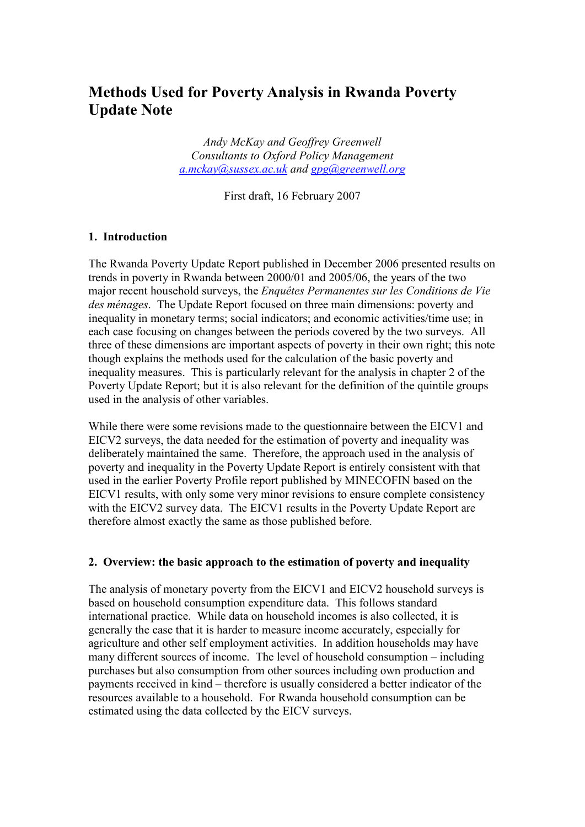# Methods Used for Poverty Analysis in Rwanda Poverty Update Note

Andy McKay and Geoffrey Greenwell Consultants to Oxford Policy Management  $a$ .mckay@sussex.ac.uk and [gpg@greenwell.org](mailto:gpg@greenwell.org)

First draft, 16 February 2007

# 1. Introduction

The Rwanda Poverty Update Report published in December 2006 presented results on trends in poverty in Rwanda between 2000/01 and 2005/06, the years of the two major recent household surveys, the Enquêtes Permanentes sur les Conditions de Vie des ménages. The Update Report focused on three main dimensions: poverty and inequality in monetary terms; social indicators; and economic activities/time use; in each case focusing on changes between the periods covered by the two surveys. All three of these dimensions are important aspects of poverty in their own right; this note though explains the methods used for the calculation of the basic poverty and inequality measures. This is particularly relevant for the analysis in chapter 2 of the Poverty Update Report; but it is also relevant for the definition of the quintile groups used in the analysis of other variables.

While there were some revisions made to the questionnaire between the EICV1 and EICV2 surveys, the data needed for the estimation of poverty and inequality was deliberately maintained the same. Therefore, the approach used in the analysis of poverty and inequality in the Poverty Update Report is entirely consistent with that used in the earlier Poverty Profile report published by MINECOFIN based on the EICV1 results, with only some very minor revisions to ensure complete consistency with the EICV2 survey data. The EICV1 results in the Poverty Update Report are therefore almost exactly the same as those published before.

### 2. Overview: the basic approach to the estimation of poverty and inequality

The analysis of monetary poverty from the EICV1 and EICV2 household surveys is based on household consumption expenditure data. This follows standard international practice. While data on household incomes is also collected, it is generally the case that it is harder to measure income accurately, especially for agriculture and other self employment activities. In addition households may have many different sources of income. The level of household consumption – including purchases but also consumption from other sources including own production and payments received in kind – therefore is usually considered a better indicator of the resources available to a household. For Rwanda household consumption can be estimated using the data collected by the EICV surveys.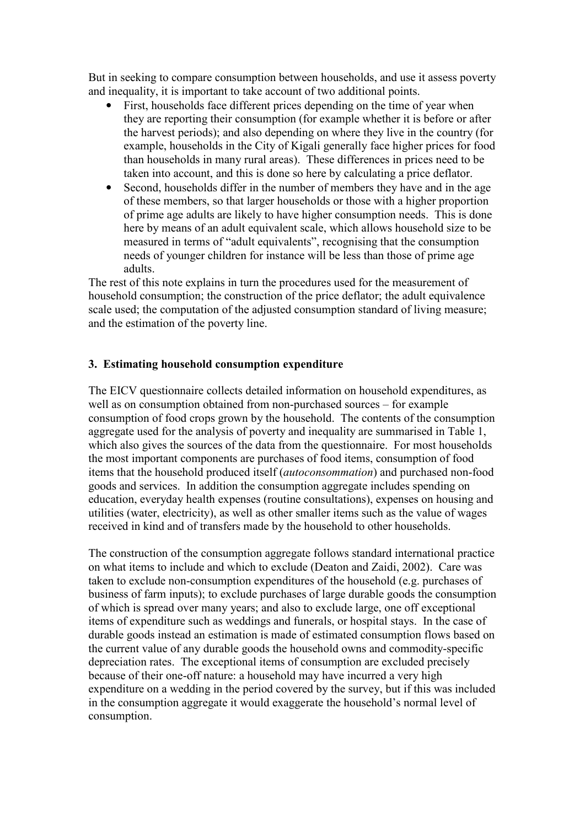But in seeking to compare consumption between households, and use it assess poverty and inequality, it is important to take account of two additional points.

- First, households face different prices depending on the time of year when they are reporting their consumption (for example whether it is before or after the harvest periods); and also depending on where they live in the country (for example, households in the City of Kigali generally face higher prices for food than households in many rural areas). These differences in prices need to be taken into account, and this is done so here by calculating a price deflator.
- Second, households differ in the number of members they have and in the age of these members, so that larger households or those with a higher proportion of prime age adults are likely to have higher consumption needs. This is done here by means of an adult equivalent scale, which allows household size to be measured in terms of "adult equivalents", recognising that the consumption needs of younger children for instance will be less than those of prime age adults.

The rest of this note explains in turn the procedures used for the measurement of household consumption; the construction of the price deflator; the adult equivalence scale used; the computation of the adjusted consumption standard of living measure; and the estimation of the poverty line.

# 3. Estimating household consumption expenditure

The EICV questionnaire collects detailed information on household expenditures, as well as on consumption obtained from non-purchased sources – for example consumption of food crops grown by the household. The contents of the consumption aggregate used for the analysis of poverty and inequality are summarised in Table 1, which also gives the sources of the data from the questionnaire. For most households the most important components are purchases of food items, consumption of food items that the household produced itself (autoconsommation) and purchased non-food goods and services. In addition the consumption aggregate includes spending on education, everyday health expenses (routine consultations), expenses on housing and utilities (water, electricity), as well as other smaller items such as the value of wages received in kind and of transfers made by the household to other households.

The construction of the consumption aggregate follows standard international practice on what items to include and which to exclude (Deaton and Zaidi, 2002). Care was taken to exclude non-consumption expenditures of the household (e.g. purchases of business of farm inputs); to exclude purchases of large durable goods the consumption of which is spread over many years; and also to exclude large, one off exceptional items of expenditure such as weddings and funerals, or hospital stays. In the case of durable goods instead an estimation is made of estimated consumption flows based on the current value of any durable goods the household owns and commodity-specific depreciation rates. The exceptional items of consumption are excluded precisely because of their one-off nature: a household may have incurred a very high expenditure on a wedding in the period covered by the survey, but if this was included in the consumption aggregate it would exaggerate the household's normal level of consumption.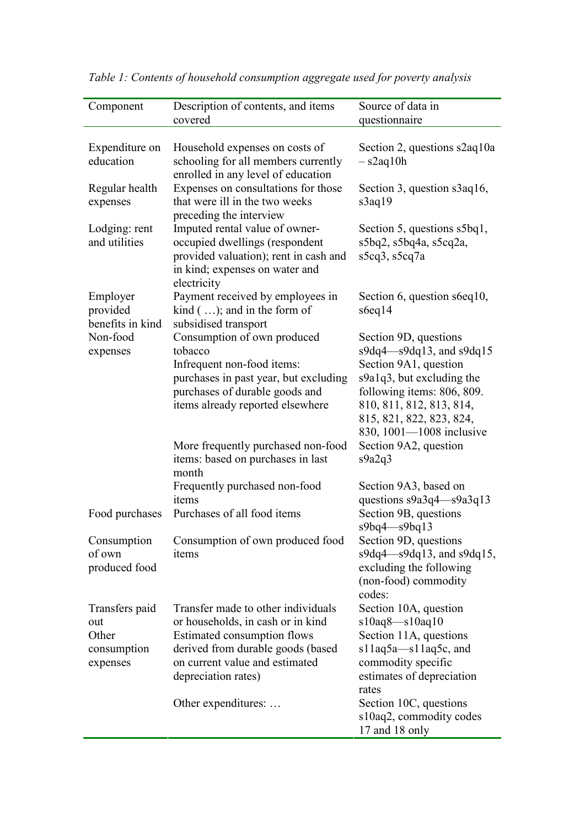| Component                                | Description of contents, and items                                                                                                                                                  | Source of data in                                                                                                                                                                                                                |
|------------------------------------------|-------------------------------------------------------------------------------------------------------------------------------------------------------------------------------------|----------------------------------------------------------------------------------------------------------------------------------------------------------------------------------------------------------------------------------|
|                                          | covered                                                                                                                                                                             | questionnaire                                                                                                                                                                                                                    |
| Expenditure on<br>education              | Household expenses on costs of<br>schooling for all members currently<br>enrolled in any level of education                                                                         | Section 2, questions s2aq10a<br>$-$ s2aq10h                                                                                                                                                                                      |
| Regular health<br>expenses               | Expenses on consultations for those<br>that were ill in the two weeks<br>preceding the interview                                                                                    | Section 3, question s3aq16,<br>s3aq19                                                                                                                                                                                            |
| Lodging: rent<br>and utilities           | Imputed rental value of owner-<br>occupied dwellings (respondent<br>provided valuation); rent in cash and<br>in kind; expenses on water and<br>electricity                          | Section 5, questions s5bq1,<br>$s5bq2$ , $s5bq4a$ , $s5cq2a$ ,<br>s5cq3, s5cq7a                                                                                                                                                  |
| Employer<br>provided<br>benefits in kind | Payment received by employees in<br>kind $($ ); and in the form of<br>subsidised transport                                                                                          | Section 6, question s6eq10,<br>s6eq14                                                                                                                                                                                            |
| Non-food<br>expenses                     | Consumption of own produced<br>tobacco<br>Infrequent non-food items:<br>purchases in past year, but excluding<br>purchases of durable goods and<br>items already reported elsewhere | Section 9D, questions<br>$s9dq4 - s9dq13$ , and $s9dq15$<br>Section 9A1, question<br>s9a1q3, but excluding the<br>following items: 806, 809.<br>810, 811, 812, 813, 814,<br>815, 821, 822, 823, 824,<br>830, 1001-1008 inclusive |
|                                          | More frequently purchased non-food<br>items: based on purchases in last<br>month                                                                                                    | Section 9A2, question<br>s9a2q3                                                                                                                                                                                                  |
|                                          | Frequently purchased non-food<br>items                                                                                                                                              | Section 9A3, based on<br>questions $s9a3q4 - s9a3q13$                                                                                                                                                                            |
| Food purchases                           | Purchases of all food items                                                                                                                                                         | Section 9B, questions<br>$s9bq4 - s9bq13$                                                                                                                                                                                        |
| Consumption<br>of own<br>produced food   | Consumption of own produced food<br>items                                                                                                                                           | Section 9D, questions<br>$s9dq4 - s9dq13$ , and $s9dq15$ ,<br>excluding the following<br>(non-food) commodity<br>codes:                                                                                                          |
| Transfers paid                           | Transfer made to other individuals                                                                                                                                                  | Section 10A, question                                                                                                                                                                                                            |
| out                                      | or households, in cash or in kind                                                                                                                                                   | $s10aq8 - s10aq10$                                                                                                                                                                                                               |
| Other                                    | Estimated consumption flows                                                                                                                                                         | Section 11A, questions                                                                                                                                                                                                           |
| consumption                              | derived from durable goods (based                                                                                                                                                   | s11aq5a-s11aq5c, and                                                                                                                                                                                                             |
| expenses                                 | on current value and estimated<br>depreciation rates)                                                                                                                               | commodity specific<br>estimates of depreciation<br>rates                                                                                                                                                                         |
|                                          | Other expenditures:                                                                                                                                                                 | Section 10C, questions<br>s10aq2, commodity codes                                                                                                                                                                                |
|                                          |                                                                                                                                                                                     | 17 and 18 only                                                                                                                                                                                                                   |

Table 1: Contents of household consumption aggregate used for poverty analysis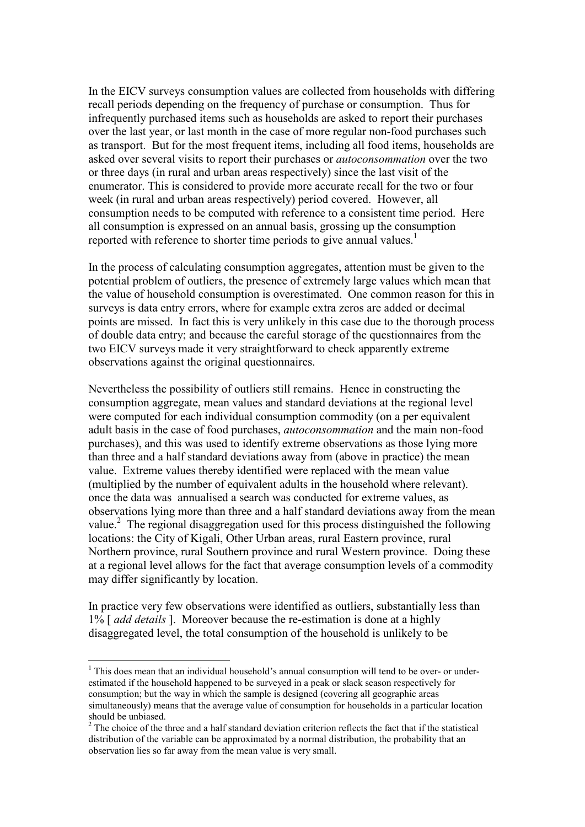In the EICV surveys consumption values are collected from households with differing recall periods depending on the frequency of purchase or consumption. Thus for infrequently purchased items such as households are asked to report their purchases over the last year, or last month in the case of more regular non-food purchases such as transport. But for the most frequent items, including all food items, households are asked over several visits to report their purchases or autoconsommation over the two or three days (in rural and urban areas respectively) since the last visit of the enumerator. This is considered to provide more accurate recall for the two or four week (in rural and urban areas respectively) period covered. However, all consumption needs to be computed with reference to a consistent time period. Here all consumption is expressed on an annual basis, grossing up the consumption reported with reference to shorter time periods to give annual values.<sup>1</sup>

In the process of calculating consumption aggregates, attention must be given to the potential problem of outliers, the presence of extremely large values which mean that the value of household consumption is overestimated. One common reason for this in surveys is data entry errors, where for example extra zeros are added or decimal points are missed. In fact this is very unlikely in this case due to the thorough process of double data entry; and because the careful storage of the questionnaires from the two EICV surveys made it very straightforward to check apparently extreme observations against the original questionnaires.

Nevertheless the possibility of outliers still remains. Hence in constructing the consumption aggregate, mean values and standard deviations at the regional level were computed for each individual consumption commodity (on a per equivalent adult basis in the case of food purchases, autoconsommation and the main non-food purchases), and this was used to identify extreme observations as those lying more than three and a half standard deviations away from (above in practice) the mean value. Extreme values thereby identified were replaced with the mean value (multiplied by the number of equivalent adults in the household where relevant). once the data was annualised a search was conducted for extreme values, as observations lying more than three and a half standard deviations away from the mean value.<sup>2</sup> The regional disaggregation used for this process distinguished the following locations: the City of Kigali, Other Urban areas, rural Eastern province, rural Northern province, rural Southern province and rural Western province. Doing these at a regional level allows for the fact that average consumption levels of a commodity may differ significantly by location.

In practice very few observations were identified as outliers, substantially less than 1% [ *add details* ]. Moreover because the re-estimation is done at a highly disaggregated level, the total consumption of the household is unlikely to be

<u>.</u>

<sup>&</sup>lt;sup>1</sup> This does mean that an individual household's annual consumption will tend to be over- or underestimated if the household happened to be surveyed in a peak or slack season respectively for consumption; but the way in which the sample is designed (covering all geographic areas simultaneously) means that the average value of consumption for households in a particular location should be unbiased.

 $2^2$  The choice of the three and a half standard deviation criterion reflects the fact that if the statistical distribution of the variable can be approximated by a normal distribution, the probability that an observation lies so far away from the mean value is very small.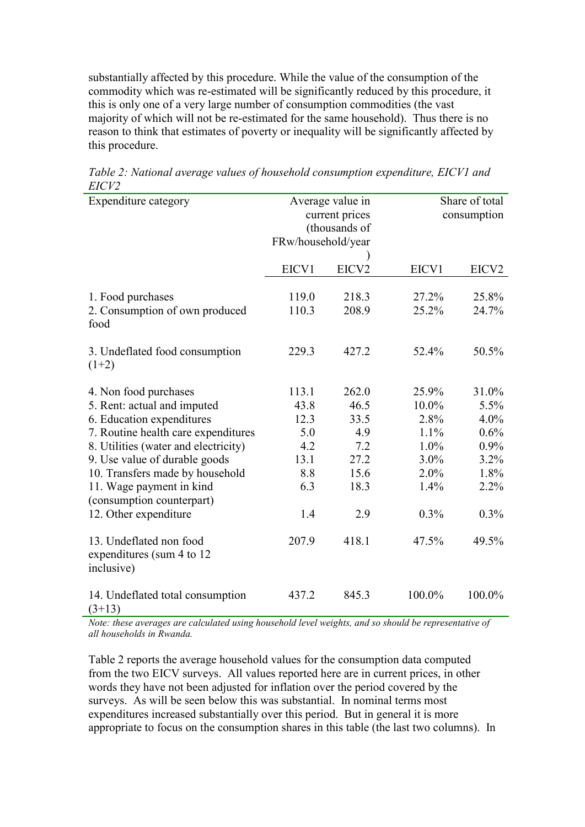substantially affected by this procedure. While the value of the consumption of the commodity which was re-estimated will be significantly reduced by this procedure, it this is only one of a very large number of consumption commodities (the vast majority of which will not be re-estimated for the same household). Thus there is no reason to think that estimates of poverty or inequality will be significantly affected by this procedure.

| Expenditure category                                                                     | Average value in<br>current prices<br>(thousands of<br>FRw/household/year |                | Share of total<br>consumption |                   |
|------------------------------------------------------------------------------------------|---------------------------------------------------------------------------|----------------|-------------------------------|-------------------|
|                                                                                          | EICV1                                                                     | EICV2          | EICV1                         | EICV <sub>2</sub> |
| 1. Food purchases<br>2. Consumption of own produced<br>food                              | 119.0<br>110.3                                                            | 218.3<br>208.9 | 27.2%<br>25.2%                | 25.8%<br>24.7%    |
| 3. Undeflated food consumption<br>$(1+2)$                                                | 229.3                                                                     | 427.2          | 52.4%                         | 50.5%             |
| 4. Non food purchases<br>5. Rent: actual and imputed                                     | 113.1<br>43.8                                                             | 262.0<br>46.5  | 25.9%<br>10.0%                | 31.0%<br>5.5%     |
| 6. Education expenditures                                                                | 12.3                                                                      | 33.5           | 2.8%                          | 4.0%              |
| 7. Routine health care expenditures                                                      | 5.0                                                                       | 4.9            | 1.1%                          | 0.6%              |
| 8. Utilities (water and electricity)                                                     | 4.2                                                                       | 7.2            | 1.0%                          | 0.9%              |
| 9. Use value of durable goods                                                            | 13.1                                                                      | 27.2           | 3.0%                          | 3.2%              |
| 10. Transfers made by household<br>11. Wage payment in kind<br>(consumption counterpart) | 8.8<br>6.3                                                                | 15.6<br>18.3   | 2.0%<br>1.4%                  | 1.8%<br>2.2%      |
| 12. Other expenditure                                                                    | 1.4                                                                       | 2.9            | 0.3%                          | 0.3%              |
| 13. Undeflated non food<br>expenditures (sum 4 to 12<br>inclusive)                       | 207.9                                                                     | 418.1          | 47.5%                         | 49.5%             |
| 14. Undeflated total consumption<br>$(3+13)$                                             | 437.2                                                                     | 845.3          | 100.0%                        | 100.0%            |

Table 2: National average values of household consumption expenditure, EICV1 and EICV2

Note: these averages are calculated using household level weights, and so should be representative of all households in Rwanda.

Table 2 reports the average household values for the consumption data computed from the two EICV surveys. All values reported here are in current prices, in other words they have not been adjusted for inflation over the period covered by the surveys. As will be seen below this was substantial. In nominal terms most expenditures increased substantially over this period. But in general it is more appropriate to focus on the consumption shares in this table (the last two columns). In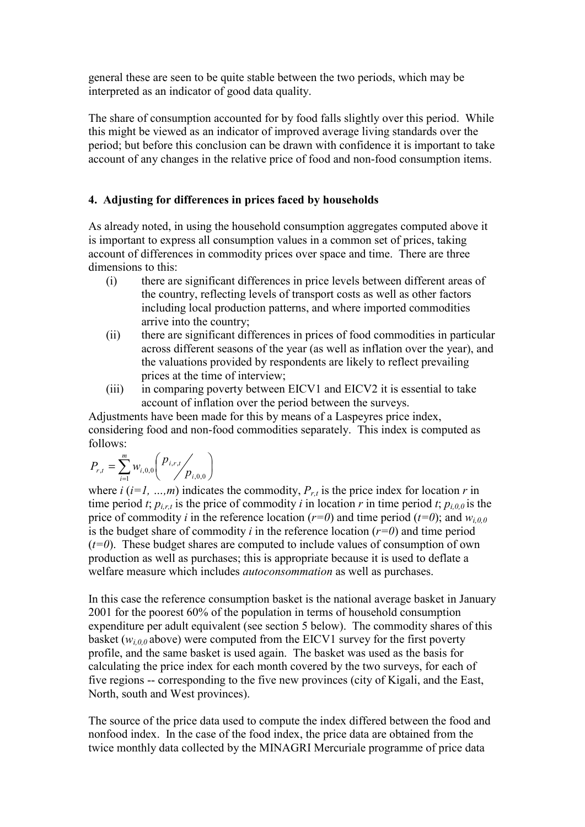general these are seen to be quite stable between the two periods, which may be interpreted as an indicator of good data quality.

The share of consumption accounted for by food falls slightly over this period. While this might be viewed as an indicator of improved average living standards over the period; but before this conclusion can be drawn with confidence it is important to take account of any changes in the relative price of food and non-food consumption items.

# 4. Adjusting for differences in prices faced by households

As already noted, in using the household consumption aggregates computed above it is important to express all consumption values in a common set of prices, taking account of differences in commodity prices over space and time. There are three dimensions to this:

- (i) there are significant differences in price levels between different areas of the country, reflecting levels of transport costs as well as other factors including local production patterns, and where imported commodities arrive into the country;
- (ii) there are significant differences in prices of food commodities in particular across different seasons of the year (as well as inflation over the year), and the valuations provided by respondents are likely to reflect prevailing prices at the time of interview;
- (iii) in comparing poverty between EICV1 and EICV2 it is essential to take account of inflation over the period between the surveys.

Adjustments have been made for this by means of a Laspeyres price index, considering food and non-food commodities separately. This index is computed as follows:

$$
P_{r,t} = \sum_{i=1}^{m} w_{i,0,0} \left( \frac{p_{i,r,t}}{p_{i,0,0}} \right)
$$

where  $i$  ( $i=1, ..., m$ ) indicates the commodity,  $P_{r,t}$  is the price index for location r in time period t;  $p_{i,r,t}$  is the price of commodity i in location r in time period t;  $p_{i,0,0}$  is the price of commodity *i* in the reference location ( $r=0$ ) and time period ( $t=0$ ); and  $w_{i,0,0}$ is the budget share of commodity i in the reference location  $(r=0)$  and time period  $(t=0)$ . These budget shares are computed to include values of consumption of own production as well as purchases; this is appropriate because it is used to deflate a welfare measure which includes autoconsommation as well as purchases.

In this case the reference consumption basket is the national average basket in January 2001 for the poorest 60% of the population in terms of household consumption expenditure per adult equivalent (see section 5 below). The commodity shares of this basket ( $w_{i,0,0}$  above) were computed from the EICV1 survey for the first poverty profile, and the same basket is used again. The basket was used as the basis for calculating the price index for each month covered by the two surveys, for each of five regions -- corresponding to the five new provinces (city of Kigali, and the East, North, south and West provinces).

The source of the price data used to compute the index differed between the food and nonfood index. In the case of the food index, the price data are obtained from the twice monthly data collected by the MINAGRI Mercuriale programme of price data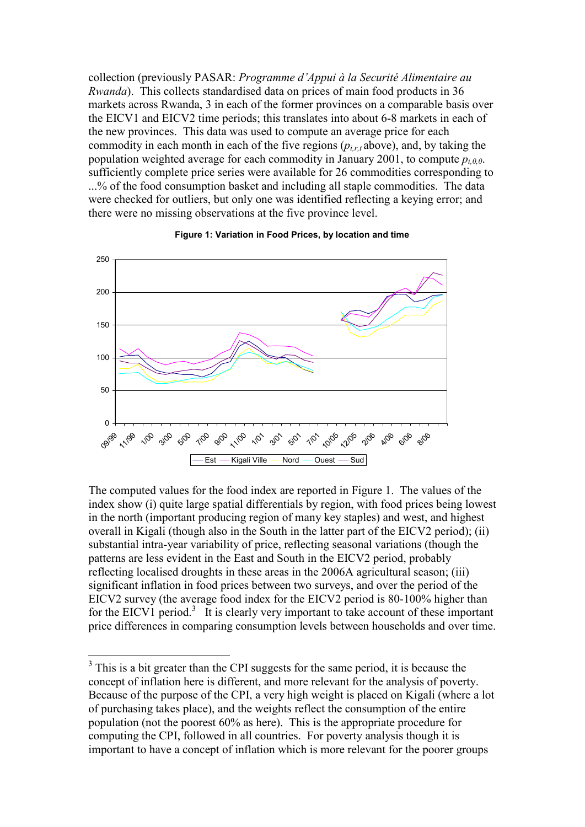collection (previously PASAR: Programme d'Appui à la Securité Alimentaire au Rwanda). This collects standardised data on prices of main food products in 36 markets across Rwanda, 3 in each of the former provinces on a comparable basis over the EICV1 and EICV2 time periods; this translates into about 6-8 markets in each of the new provinces. This data was used to compute an average price for each commodity in each month in each of the five regions  $(p_{i,rd}$  bove), and, by taking the population weighted average for each commodity in January 2001, to compute  $p_{i,0,0}$ . sufficiently complete price series were available for 26 commodities corresponding to ...% of the food consumption basket and including all staple commodities. The data were checked for outliers, but only one was identified reflecting a keying error; and there were no missing observations at the five province level.



#### Figure 1: Variation in Food Prices, by location and time

The computed values for the food index are reported in Figure 1. The values of the index show (i) quite large spatial differentials by region, with food prices being lowest in the north (important producing region of many key staples) and west, and highest overall in Kigali (though also in the South in the latter part of the EICV2 period); (ii) substantial intra-year variability of price, reflecting seasonal variations (though the patterns are less evident in the East and South in the EICV2 period, probably reflecting localised droughts in these areas in the 2006A agricultural season; (iii) significant inflation in food prices between two surveys, and over the period of the EICV2 survey (the average food index for the EICV2 period is 80-100% higher than for the EICV1 period.<sup>3</sup> It is clearly very important to take account of these important price differences in comparing consumption levels between households and over time.

<sup>&</sup>lt;sup>3</sup>This is a bit greater than the CPI suggests for the same period, it is because the concept of inflation here is different, and more relevant for the analysis of poverty. Because of the purpose of the CPI, a very high weight is placed on Kigali (where a lot of purchasing takes place), and the weights reflect the consumption of the entire population (not the poorest 60% as here). This is the appropriate procedure for computing the CPI, followed in all countries. For poverty analysis though it is important to have a concept of inflation which is more relevant for the poorer groups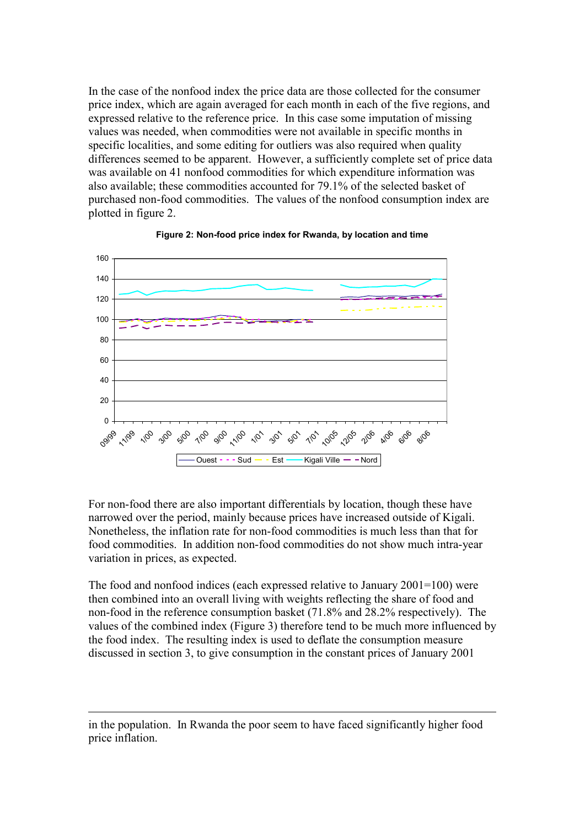In the case of the nonfood index the price data are those collected for the consumer price index, which are again averaged for each month in each of the five regions, and expressed relative to the reference price. In this case some imputation of missing values was needed, when commodities were not available in specific months in specific localities, and some editing for outliers was also required when quality differences seemed to be apparent. However, a sufficiently complete set of price data was available on 41 nonfood commodities for which expenditure information was also available; these commodities accounted for 79.1% of the selected basket of purchased non-food commodities. The values of the nonfood consumption index are plotted in figure 2.





For non-food there are also important differentials by location, though these have narrowed over the period, mainly because prices have increased outside of Kigali. Nonetheless, the inflation rate for non-food commodities is much less than that for food commodities. In addition non-food commodities do not show much intra-year variation in prices, as expected.

The food and nonfood indices (each expressed relative to January 2001=100) were then combined into an overall living with weights reflecting the share of food and non-food in the reference consumption basket (71.8% and 28.2% respectively). The values of the combined index (Figure 3) therefore tend to be much more influenced by the food index. The resulting index is used to deflate the consumption measure discussed in section 3, to give consumption in the constant prices of January 2001

<u>.</u>

in the population. In Rwanda the poor seem to have faced significantly higher food price inflation.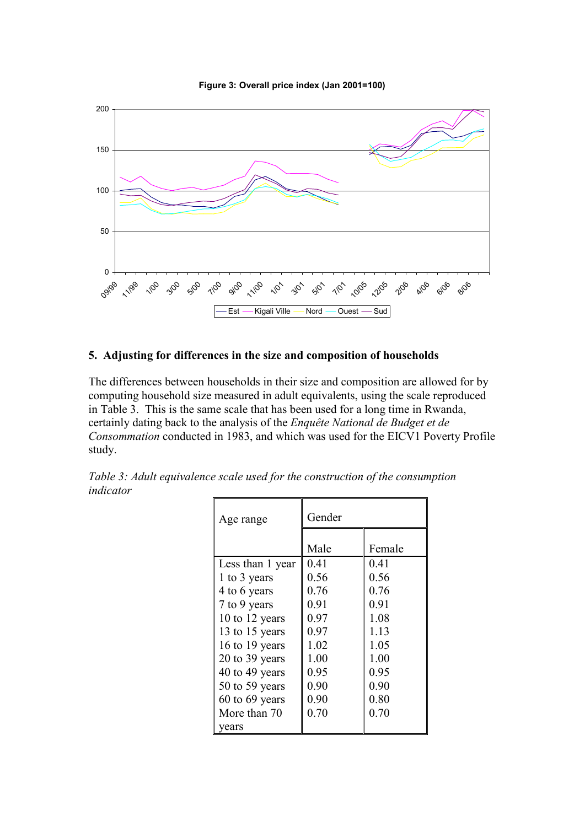Figure 3: Overall price index (Jan 2001=100)



# 5. Adjusting for differences in the size and composition of households

The differences between households in their size and composition are allowed for by computing household size measured in adult equivalents, using the scale reproduced in Table 3. This is the same scale that has been used for a long time in Rwanda, certainly dating back to the analysis of the Enquête National de Budget et de Consommation conducted in 1983, and which was used for the EICV1 Poverty Profile study.

| Table 3: Adult equivalence scale used for the construction of the consumption |  |  |
|-------------------------------------------------------------------------------|--|--|
| indicator                                                                     |  |  |

| Age range          | Gender |        |  |
|--------------------|--------|--------|--|
|                    |        |        |  |
|                    | Male   | Female |  |
| Less than 1 year   | 0.41   | 0.41   |  |
| 1 to 3 years       | 0.56   | 0.56   |  |
| 4 to 6 years       | 0.76   | 0.76   |  |
| 7 to 9 years       | 0.91   | 0.91   |  |
| 10 to 12 years     | 0.97   | 1.08   |  |
| 13 to 15 years     | 0.97   | 1.13   |  |
| 16 to 19 years     | 1.02   | 1.05   |  |
| 20 to 39 years     | 1.00   | 1.00   |  |
| 40 to 49 years     | 0.95   | 0.95   |  |
| 50 to 59 years     | 0.90   | 0.90   |  |
| $60$ to $69$ years | 0.90   | 0.80   |  |
| More than 70       | 0.70   | 0.70   |  |
| vears              |        |        |  |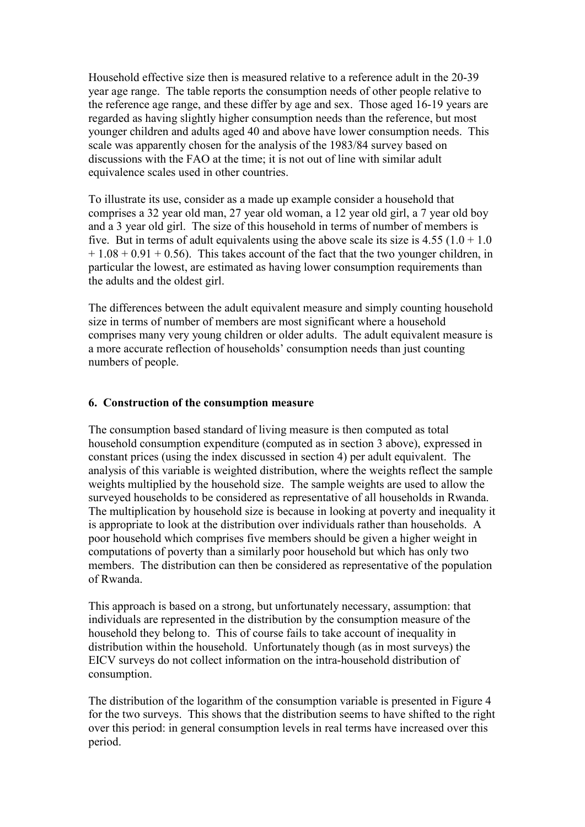Household effective size then is measured relative to a reference adult in the 20-39 year age range. The table reports the consumption needs of other people relative to the reference age range, and these differ by age and sex. Those aged 16-19 years are regarded as having slightly higher consumption needs than the reference, but most younger children and adults aged 40 and above have lower consumption needs. This scale was apparently chosen for the analysis of the 1983/84 survey based on discussions with the FAO at the time; it is not out of line with similar adult equivalence scales used in other countries.

To illustrate its use, consider as a made up example consider a household that comprises a 32 year old man, 27 year old woman, a 12 year old girl, a 7 year old boy and a 3 year old girl. The size of this household in terms of number of members is five. But in terms of adult equivalents using the above scale its size is  $4.55$  ( $1.0 + 1.0$ )  $+ 1.08 + 0.91 + 0.56$ . This takes account of the fact that the two younger children, in particular the lowest, are estimated as having lower consumption requirements than the adults and the oldest girl.

The differences between the adult equivalent measure and simply counting household size in terms of number of members are most significant where a household comprises many very young children or older adults. The adult equivalent measure is a more accurate reflection of households' consumption needs than just counting numbers of people.

# 6. Construction of the consumption measure

The consumption based standard of living measure is then computed as total household consumption expenditure (computed as in section 3 above), expressed in constant prices (using the index discussed in section 4) per adult equivalent. The analysis of this variable is weighted distribution, where the weights reflect the sample weights multiplied by the household size. The sample weights are used to allow the surveyed households to be considered as representative of all households in Rwanda. The multiplication by household size is because in looking at poverty and inequality it is appropriate to look at the distribution over individuals rather than households. A poor household which comprises five members should be given a higher weight in computations of poverty than a similarly poor household but which has only two members. The distribution can then be considered as representative of the population of Rwanda.

This approach is based on a strong, but unfortunately necessary, assumption: that individuals are represented in the distribution by the consumption measure of the household they belong to. This of course fails to take account of inequality in distribution within the household. Unfortunately though (as in most surveys) the EICV surveys do not collect information on the intra-household distribution of consumption.

The distribution of the logarithm of the consumption variable is presented in Figure 4 for the two surveys. This shows that the distribution seems to have shifted to the right over this period: in general consumption levels in real terms have increased over this period.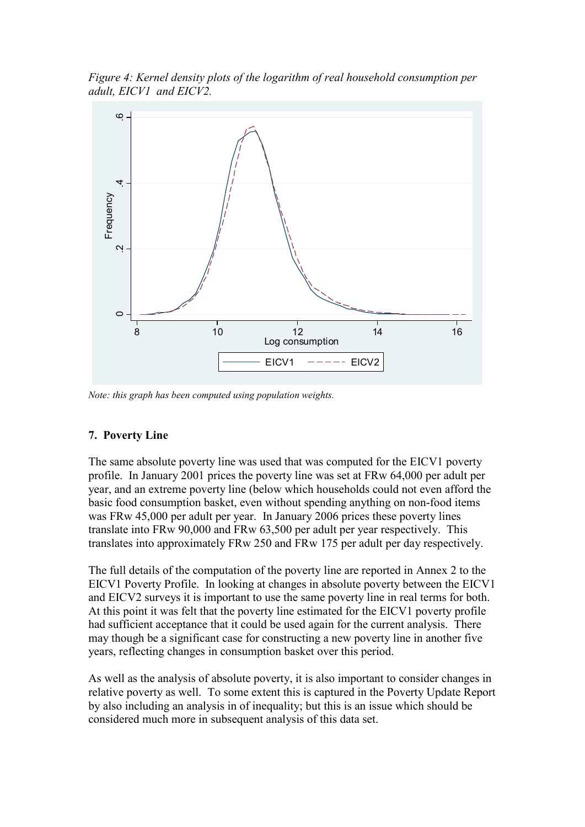Figure 4: Kernel density plots of the logarithm of real household consumption per adult, EICV1 and EICV2.



Note: this graph has been computed using population weights.

### 7. Poverty Line

The same absolute poverty line was used that was computed for the EICV1 poverty profile. In January 2001 prices the poverty line was set at FRw 64,000 per adult per year, and an extreme poverty line (below which households could not even afford the basic food consumption basket, even without spending anything on non-food items was FRw 45,000 per adult per year. In January 2006 prices these poverty lines translate into FRw 90,000 and FRw 63,500 per adult per year respectively. This translates into approximately FRw 250 and FRw 175 per adult per day respectively.

The full details of the computation of the poverty line are reported in Annex 2 to the EICV1 Poverty Profile. In looking at changes in absolute poverty between the EICV1 and EICV2 surveys it is important to use the same poverty line in real terms for both. At this point it was felt that the poverty line estimated for the EICV1 poverty profile had sufficient acceptance that it could be used again for the current analysis. There may though be a significant case for constructing a new poverty line in another five years, reflecting changes in consumption basket over this period.

As well as the analysis of absolute poverty, it is also important to consider changes in relative poverty as well. To some extent this is captured in the Poverty Update Report by also including an analysis in of inequality; but this is an issue which should be considered much more in subsequent analysis of this data set.